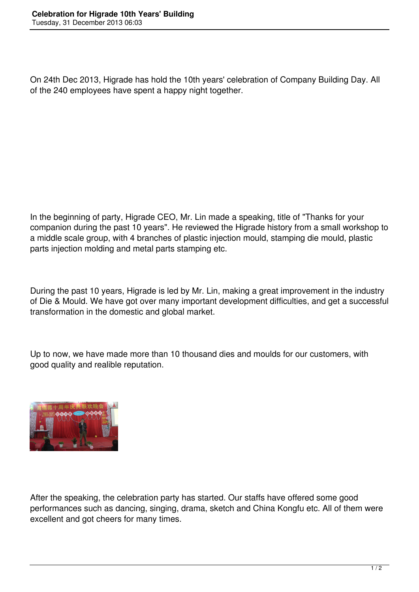On 24th Dec 2013, Higrade has hold the 10th years' celebration of Company Building Day. All of the 240 employees have spent a happy night together.

In the beginning of party, Higrade CEO, Mr. Lin made a speaking, title of "Thanks for your companion during the past 10 years". He reviewed the Higrade history from a small workshop to a middle scale group, with 4 branches of plastic injection mould, stamping die mould, plastic parts injection molding and metal parts stamping etc.

During the past 10 years, Higrade is led by Mr. Lin, making a great improvement in the industry of Die & Mould. We have got over many important development difficulties, and get a successful transformation in the domestic and global market.

Up to now, we have made more than 10 thousand dies and moulds for our customers, with good quality and realible reputation.



After the speaking, the celebration party has started. Our staffs have offered some good performances such as dancing, singing, drama, sketch and China Kongfu etc. All of them were excellent and got cheers for many times.